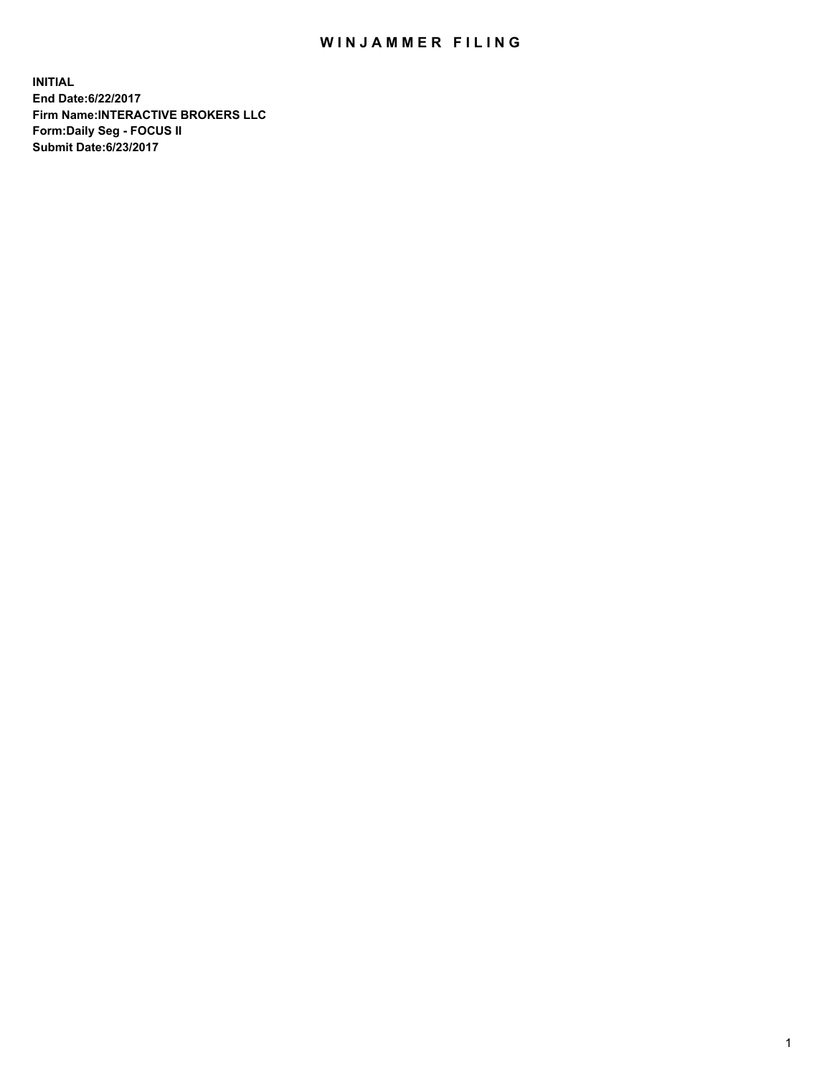## WIN JAMMER FILING

**INITIAL End Date:6/22/2017 Firm Name:INTERACTIVE BROKERS LLC Form:Daily Seg - FOCUS II Submit Date:6/23/2017**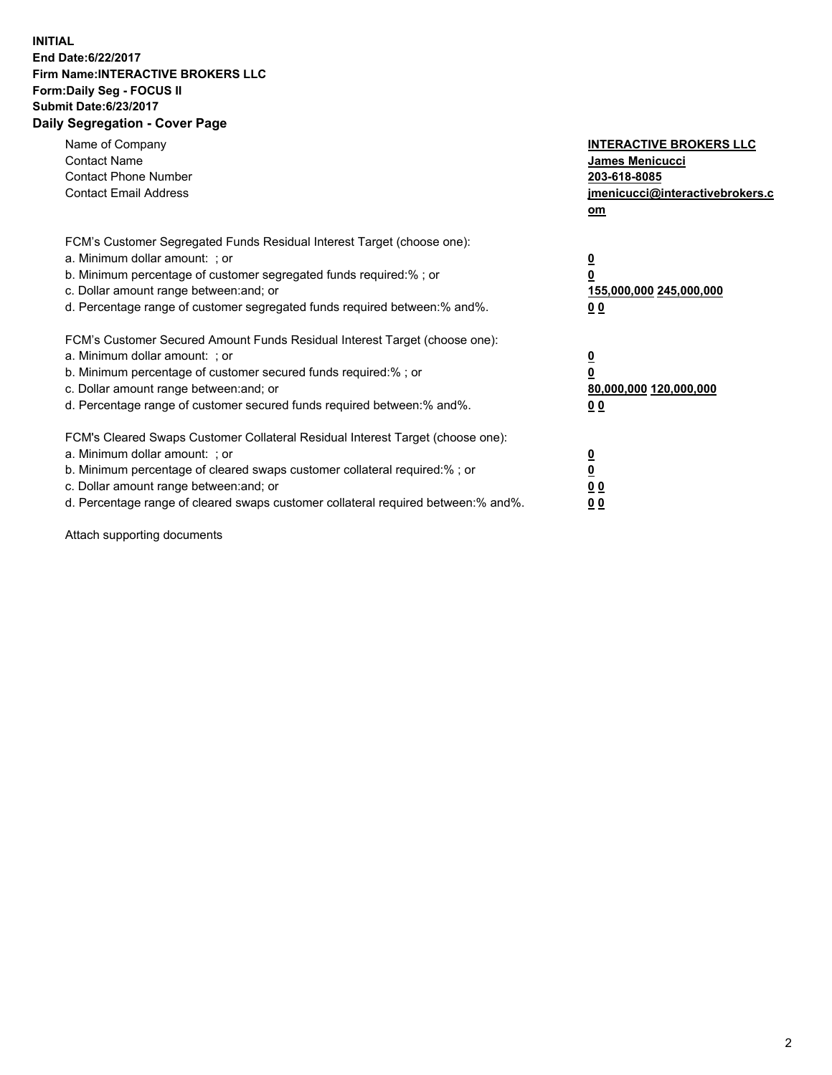## **INITIAL End Date:6/22/2017 Firm Name:INTERACTIVE BROKERS LLC Form:Daily Seg - FOCUS II Submit Date:6/23/2017 Daily Segregation - Cover Page**

| Name of Company<br><b>Contact Name</b><br><b>Contact Phone Number</b><br><b>Contact Email Address</b>                                                                                                                                                                                                                          | <b>INTERACTIVE BROKERS LLC</b><br>James Menicucci<br>203-618-8085<br>jmenicucci@interactivebrokers.c<br>om |
|--------------------------------------------------------------------------------------------------------------------------------------------------------------------------------------------------------------------------------------------------------------------------------------------------------------------------------|------------------------------------------------------------------------------------------------------------|
| FCM's Customer Segregated Funds Residual Interest Target (choose one):<br>a. Minimum dollar amount: ; or<br>b. Minimum percentage of customer segregated funds required:%; or<br>c. Dollar amount range between: and; or<br>d. Percentage range of customer segregated funds required between:% and%.                          | $\overline{\mathbf{0}}$<br>0<br>155,000,000 245,000,000<br>0 <sub>0</sub>                                  |
| FCM's Customer Secured Amount Funds Residual Interest Target (choose one):<br>a. Minimum dollar amount: ; or<br>b. Minimum percentage of customer secured funds required:%; or<br>c. Dollar amount range between: and; or<br>d. Percentage range of customer secured funds required between:% and%.                            | $\overline{\mathbf{0}}$<br>$\overline{\mathbf{0}}$<br>80,000,000 120,000,000<br>00                         |
| FCM's Cleared Swaps Customer Collateral Residual Interest Target (choose one):<br>a. Minimum dollar amount: ; or<br>b. Minimum percentage of cleared swaps customer collateral required:% ; or<br>c. Dollar amount range between: and; or<br>d. Percentage range of cleared swaps customer collateral required between:% and%. | $\overline{\mathbf{0}}$<br>$\overline{\mathbf{0}}$<br>0 <sub>0</sub><br><u>00</u>                          |

Attach supporting documents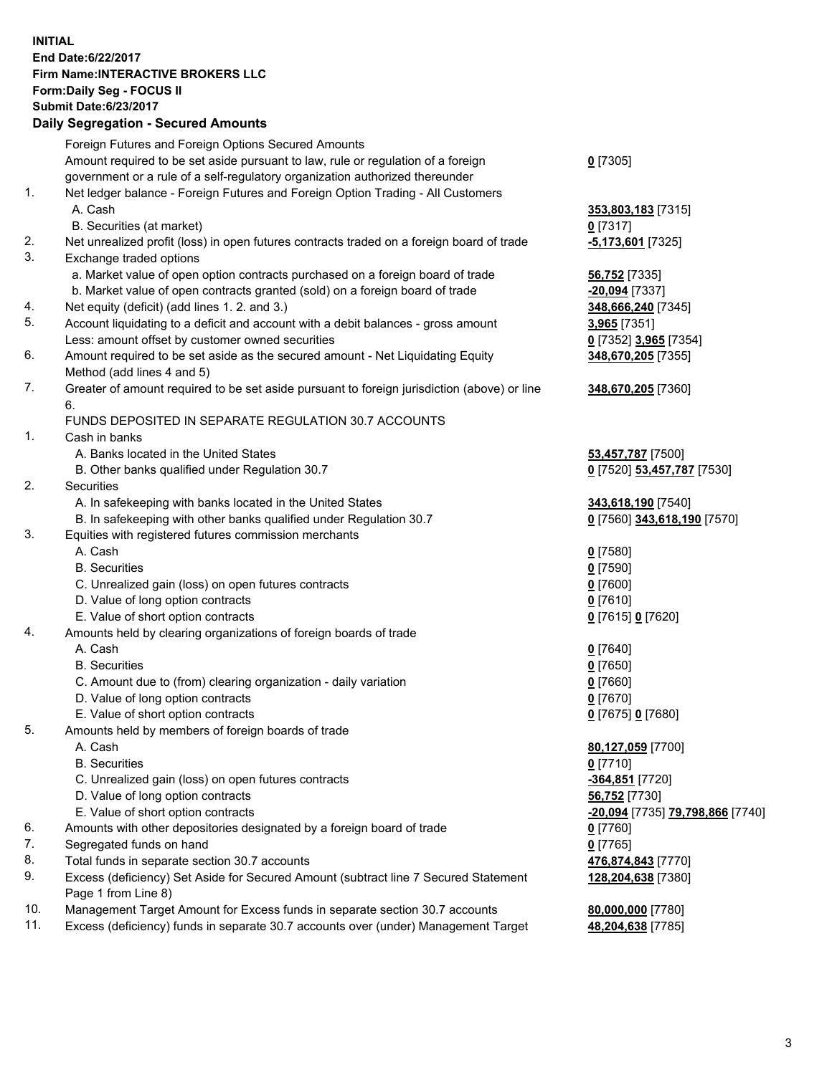## **INITIAL End Date:6/22/2017 Firm Name:INTERACTIVE BROKERS LLC Form:Daily Seg - FOCUS II Submit Date:6/23/2017**

|     | <b>Daily Segregation - Secured Amounts</b>                                                  |                                         |
|-----|---------------------------------------------------------------------------------------------|-----------------------------------------|
|     | Foreign Futures and Foreign Options Secured Amounts                                         |                                         |
|     | Amount required to be set aside pursuant to law, rule or regulation of a foreign            | $0$ [7305]                              |
|     | government or a rule of a self-regulatory organization authorized thereunder                |                                         |
| 1.  | Net ledger balance - Foreign Futures and Foreign Option Trading - All Customers             |                                         |
|     | A. Cash                                                                                     | 353,803,183 [7315]                      |
|     | B. Securities (at market)                                                                   | $0$ [7317]                              |
| 2.  | Net unrealized profit (loss) in open futures contracts traded on a foreign board of trade   | -5,173,601 [7325]                       |
| 3.  | Exchange traded options                                                                     |                                         |
|     | a. Market value of open option contracts purchased on a foreign board of trade              | 56,752 [7335]                           |
|     | b. Market value of open contracts granted (sold) on a foreign board of trade                | <u>-20,094</u> [7337]                   |
| 4.  | Net equity (deficit) (add lines 1.2. and 3.)                                                | 348,666,240 [7345]                      |
| 5.  | Account liquidating to a deficit and account with a debit balances - gross amount           | 3,965 [7351]                            |
|     | Less: amount offset by customer owned securities                                            | 0 [7352] 3,965 [7354]                   |
| 6.  | Amount required to be set aside as the secured amount - Net Liquidating Equity              | 348,670,205 [7355]                      |
|     | Method (add lines 4 and 5)                                                                  |                                         |
| 7.  | Greater of amount required to be set aside pursuant to foreign jurisdiction (above) or line | 348,670,205 [7360]                      |
|     | 6.                                                                                          |                                         |
|     | FUNDS DEPOSITED IN SEPARATE REGULATION 30.7 ACCOUNTS                                        |                                         |
| 1.  | Cash in banks                                                                               |                                         |
|     | A. Banks located in the United States                                                       | 53,457,787 [7500]                       |
|     | B. Other banks qualified under Regulation 30.7                                              | 0 [7520] 53,457,787 [7530]              |
| 2.  | Securities                                                                                  |                                         |
|     | A. In safekeeping with banks located in the United States                                   | 343,618,190 [7540]                      |
|     | B. In safekeeping with other banks qualified under Regulation 30.7                          | 0 [7560] 343,618,190 [7570]             |
| 3.  | Equities with registered futures commission merchants                                       |                                         |
|     | A. Cash                                                                                     | $0$ [7580]                              |
|     | <b>B.</b> Securities                                                                        | <u>0</u> [7590]                         |
|     | C. Unrealized gain (loss) on open futures contracts                                         | 0 [7600]                                |
|     | D. Value of long option contracts                                                           | $0$ [7610]                              |
|     | E. Value of short option contracts                                                          | 0 [7615] 0 [7620]                       |
| 4.  | Amounts held by clearing organizations of foreign boards of trade                           |                                         |
|     | A. Cash                                                                                     | $0$ [7640]                              |
|     | <b>B.</b> Securities                                                                        | $0$ [7650]                              |
|     | C. Amount due to (from) clearing organization - daily variation                             | 0 [7660]                                |
|     | D. Value of long option contracts                                                           | $0$ [7670]                              |
|     | E. Value of short option contracts                                                          | 0 [7675] 0 [7680]                       |
| 5.  | Amounts held by members of foreign boards of trade                                          |                                         |
|     | A. Cash                                                                                     | 80,127,059 [7700]                       |
|     | <b>B.</b> Securities                                                                        | $0$ [7710]                              |
|     | C. Unrealized gain (loss) on open futures contracts                                         | -364,851 [7720]                         |
|     | D. Value of long option contracts                                                           | <b>56,752</b> [7730]                    |
|     | E. Value of short option contracts                                                          | <u>-20,094</u> [7735] 79,798,866 [7740] |
| 6.  | Amounts with other depositories designated by a foreign board of trade                      | 0 [7760]                                |
| 7.  | Segregated funds on hand                                                                    | $0$ [7765]                              |
| 8.  | Total funds in separate section 30.7 accounts                                               | 476,874,843 [7770]                      |
| 9.  | Excess (deficiency) Set Aside for Secured Amount (subtract line 7 Secured Statement         | 128,204,638 [7380]                      |
|     | Page 1 from Line 8)                                                                         |                                         |
| 10. | Management Target Amount for Excess funds in separate section 30.7 accounts                 | 80,000,000 [7780]                       |
| 11. | Excess (deficiency) funds in separate 30.7 accounts over (under) Management Target          | 48,204,638 [7785]                       |
|     |                                                                                             |                                         |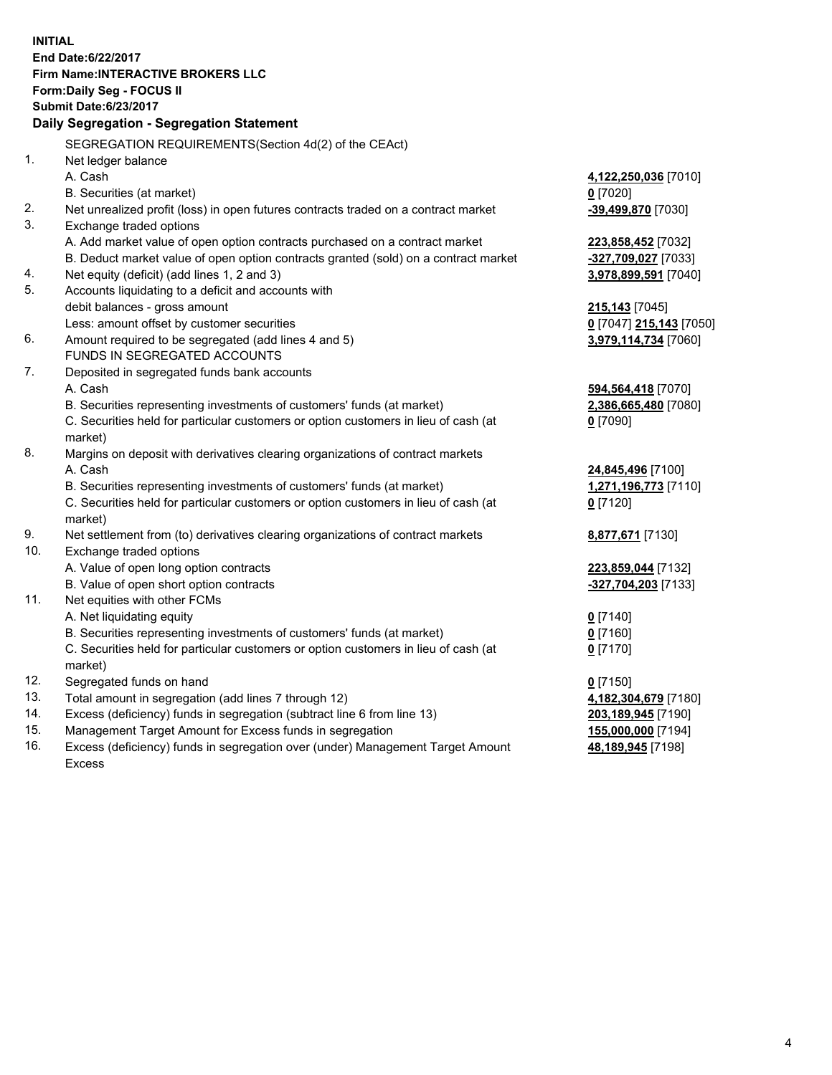**INITIAL End Date:6/22/2017 Firm Name:INTERACTIVE BROKERS LLC Form:Daily Seg - FOCUS II Submit Date:6/23/2017 Daily Segregation - Segregation Statement** SEGREGATION REQUIREMENTS(Section 4d(2) of the CEAct) 1. Net ledger balance A. Cash **4,122,250,036** [7010] B. Securities (at market) **0** [7020] 2. Net unrealized profit (loss) in open futures contracts traded on a contract market **-39,499,870** [7030] 3. Exchange traded options A. Add market value of open option contracts purchased on a contract market **223,858,452** [7032] B. Deduct market value of open option contracts granted (sold) on a contract market **-327,709,027** [7033] 4. Net equity (deficit) (add lines 1, 2 and 3) **3,978,899,591** [7040] 5. Accounts liquidating to a deficit and accounts with debit balances - gross amount **215,143** [7045] Less: amount offset by customer securities **0** [7047] **215,143** [7050] 6. Amount required to be segregated (add lines 4 and 5) **3,979,114,734** [7060] FUNDS IN SEGREGATED ACCOUNTS 7. Deposited in segregated funds bank accounts A. Cash **594,564,418** [7070] B. Securities representing investments of customers' funds (at market) **2,386,665,480** [7080] C. Securities held for particular customers or option customers in lieu of cash (at market) **0** [7090] 8. Margins on deposit with derivatives clearing organizations of contract markets A. Cash **24,845,496** [7100] B. Securities representing investments of customers' funds (at market) **1,271,196,773** [7110] C. Securities held for particular customers or option customers in lieu of cash (at market) **0** [7120] 9. Net settlement from (to) derivatives clearing organizations of contract markets **8,877,671** [7130] 10. Exchange traded options A. Value of open long option contracts **223,859,044** [7132] B. Value of open short option contracts **-327,704,203** [7133] 11. Net equities with other FCMs A. Net liquidating equity **0** [7140] B. Securities representing investments of customers' funds (at market) **0** [7160] C. Securities held for particular customers or option customers in lieu of cash (at market) **0** [7170] 12. Segregated funds on hand **0** [7150] 13. Total amount in segregation (add lines 7 through 12) **4,182,304,679** [7180] 14. Excess (deficiency) funds in segregation (subtract line 6 from line 13) **203,189,945** [7190] 15. Management Target Amount for Excess funds in segregation **155,000,000** [7194]

16. Excess (deficiency) funds in segregation over (under) Management Target Amount Excess

**48,189,945** [7198]